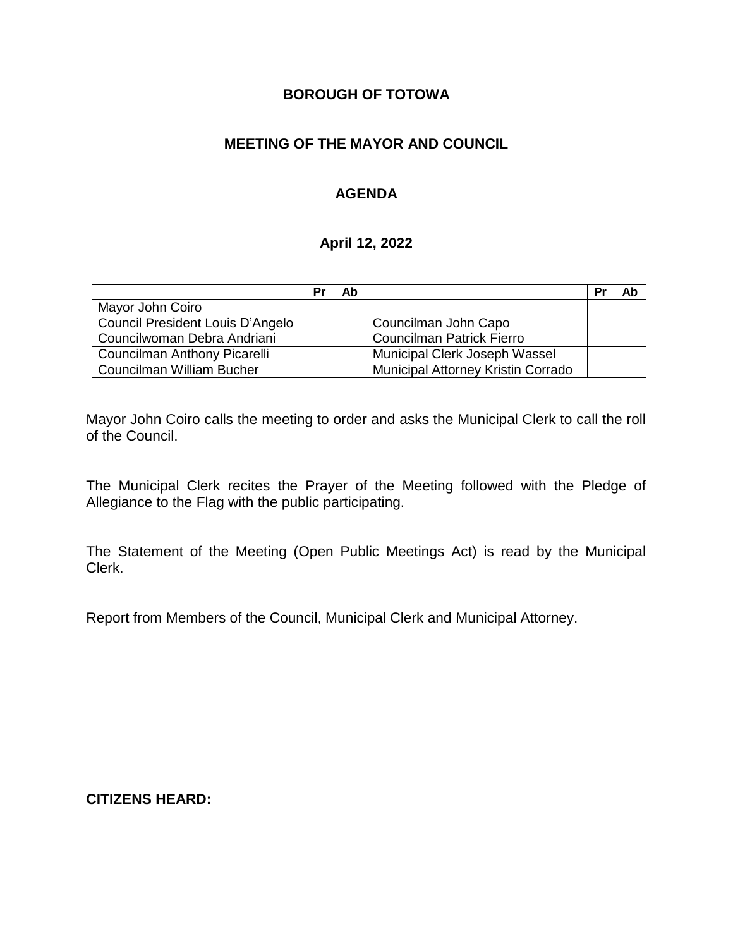## **BOROUGH OF TOTOWA**

## **MEETING OF THE MAYOR AND COUNCIL**

## **AGENDA**

### **April 12, 2022**

|                                  | Pr | Ab |                                           | Pr | Ab |
|----------------------------------|----|----|-------------------------------------------|----|----|
| Mayor John Coiro                 |    |    |                                           |    |    |
| Council President Louis D'Angelo |    |    | Councilman John Capo                      |    |    |
| Councilwoman Debra Andriani      |    |    | <b>Councilman Patrick Fierro</b>          |    |    |
| Councilman Anthony Picarelli     |    |    | Municipal Clerk Joseph Wassel             |    |    |
| Councilman William Bucher        |    |    | <b>Municipal Attorney Kristin Corrado</b> |    |    |

Mayor John Coiro calls the meeting to order and asks the Municipal Clerk to call the roll of the Council.

The Municipal Clerk recites the Prayer of the Meeting followed with the Pledge of Allegiance to the Flag with the public participating.

The Statement of the Meeting (Open Public Meetings Act) is read by the Municipal Clerk.

Report from Members of the Council, Municipal Clerk and Municipal Attorney.

**CITIZENS HEARD:**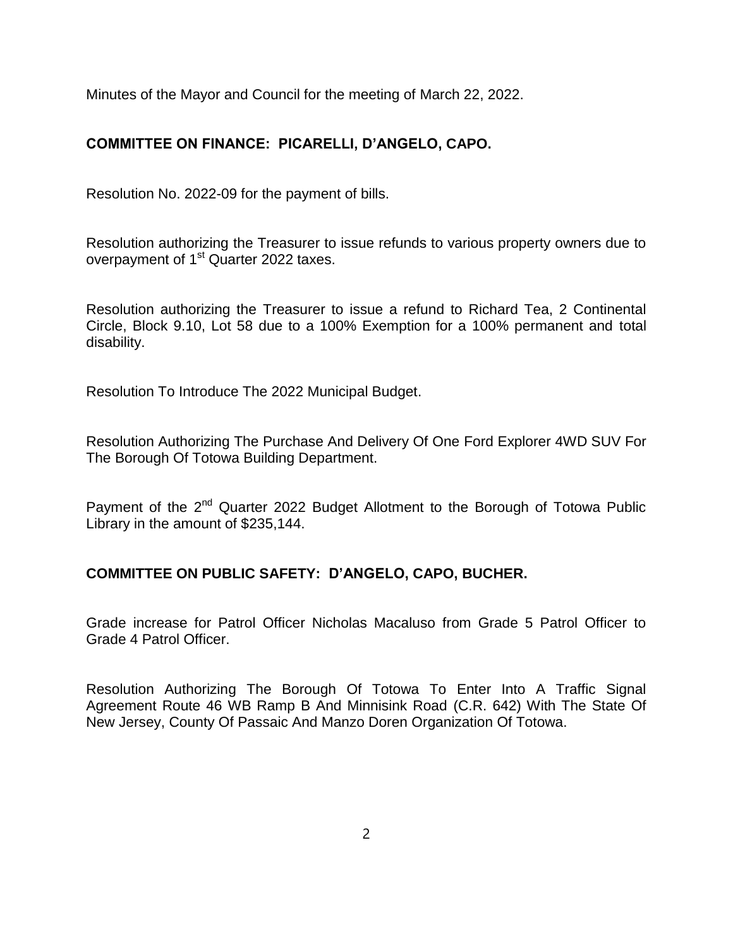Minutes of the Mayor and Council for the meeting of March 22, 2022.

# **COMMITTEE ON FINANCE: PICARELLI, D'ANGELO, CAPO.**

Resolution No. 2022-09 for the payment of bills.

Resolution authorizing the Treasurer to issue refunds to various property owners due to overpayment of 1<sup>st</sup> Quarter 2022 taxes.

Resolution authorizing the Treasurer to issue a refund to Richard Tea, 2 Continental Circle, Block 9.10, Lot 58 due to a 100% Exemption for a 100% permanent and total disability.

Resolution To Introduce The 2022 Municipal Budget.

Resolution Authorizing The Purchase And Delivery Of One Ford Explorer 4WD SUV For The Borough Of Totowa Building Department.

Payment of the 2<sup>nd</sup> Quarter 2022 Budget Allotment to the Borough of Totowa Public Library in the amount of \$235,144.

## **COMMITTEE ON PUBLIC SAFETY: D'ANGELO, CAPO, BUCHER.**

Grade increase for Patrol Officer Nicholas Macaluso from Grade 5 Patrol Officer to Grade 4 Patrol Officer.

Resolution Authorizing The Borough Of Totowa To Enter Into A Traffic Signal Agreement Route 46 WB Ramp B And Minnisink Road (C.R. 642) With The State Of New Jersey, County Of Passaic And Manzo Doren Organization Of Totowa.